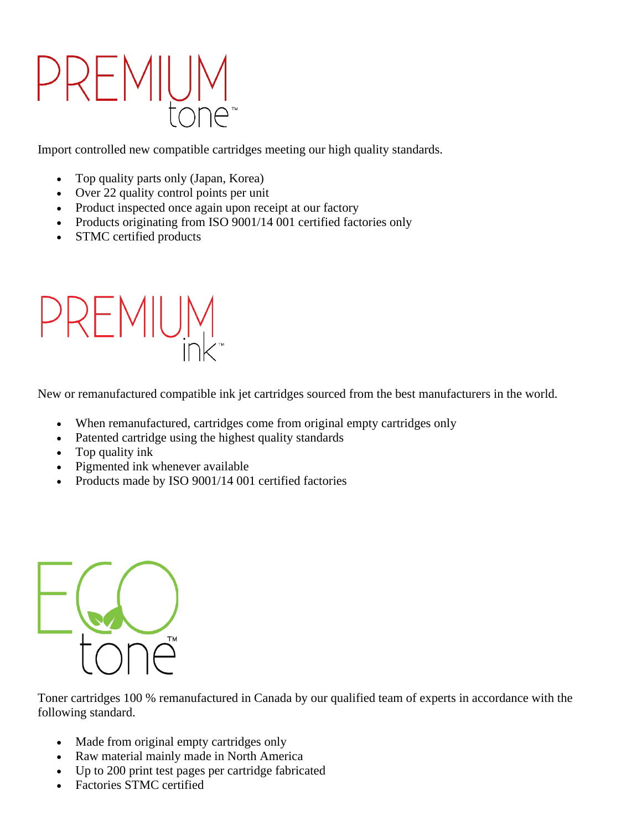## PREMIL

Import controlled new compatible cartridges meeting our high quality standards.

- Top quality parts only (Japan, Korea)
- Over 22 quality control points per unit
- Product inspected once again upon receipt at our factory
- Products originating from ISO 9001/14 001 certified factories only
- STMC certified products



New or remanufactured compatible ink jet cartridges sourced from the best manufacturers in the world.

- When remanufactured, cartridges come from original empty cartridges only
- Patented cartridge using the highest quality standards
- Top quality ink
- Pigmented ink whenever available
- Products made by ISO 9001/14 001 certified factories



Toner cartridges 100 % remanufactured in Canada by our qualified team of experts in accordance with the following standard.

- Made from original empty cartridges only
- Raw material mainly made in North America
- Up to 200 print test pages per cartridge fabricated
- Factories STMC certified